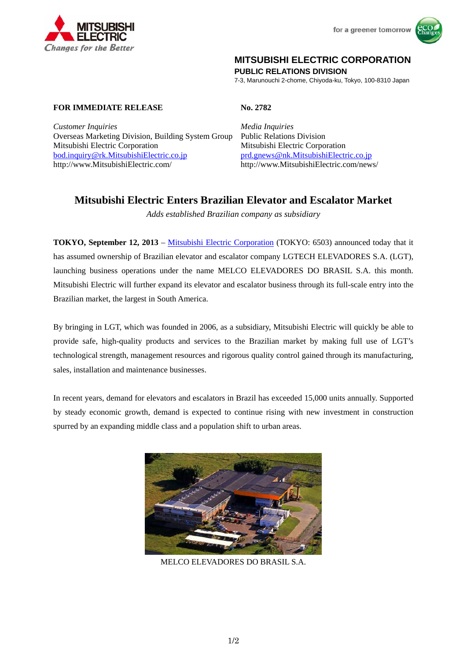



# **MITSUBISHI ELECTRIC CORPORATION**

**PUBLIC RELATIONS DIVISION** 

7-3, Marunouchi 2-chome, Chiyoda-ku, Tokyo, 100-8310 Japan

# **FOR IMMEDIATE RELEASE No. 2782**

*Customer Inquiries Media Inquiries* Overseas Marketing Division, Building System Group Public Relations Division Mitsubishi Electric Corporation Mitsubishi Electric Corporation bod.inquiry@rk.MitsubishiElectric.co.jp prd.gnews@nk.MitsubishiElectric.co.jp http://www.MitsubishiElectric.com/ http://www.MitsubishiElectric.com/news/

# **Mitsubishi Electric Enters Brazilian Elevator and Escalator Market**

*Adds established Brazilian company as subsidiary* 

**TOKYO, September 12, 2013** – Mitsubishi Electric Corporation (TOKYO: 6503) announced today that it has assumed ownership of Brazilian elevator and escalator company LGTECH ELEVADORES S.A. (LGT), launching business operations under the name MELCO ELEVADORES DO BRASIL S.A. this month. Mitsubishi Electric will further expand its elevator and escalator business through its full-scale entry into the Brazilian market, the largest in South America.

By bringing in LGT, which was founded in 2006, as a subsidiary, Mitsubishi Electric will quickly be able to provide safe, high-quality products and services to the Brazilian market by making full use of LGT's technological strength, management resources and rigorous quality control gained through its manufacturing, sales, installation and maintenance businesses.

In recent years, demand for elevators and escalators in Brazil has exceeded 15,000 units annually. Supported by steady economic growth, demand is expected to continue rising with new investment in construction spurred by an expanding middle class and a population shift to urban areas.



MELCO ELEVADORES DO BRASIL S.A.